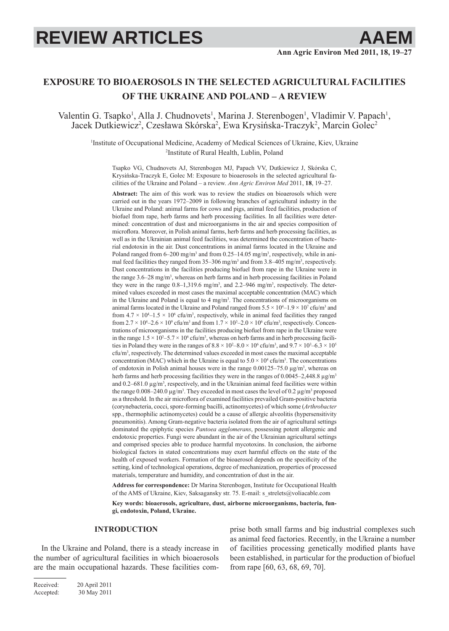# **REVIEW ARTICLES AAEM**

# **EXPOSURE TO BIOAEROSOLS IN THE SELECTED AGRICULTURAL FACILITIES OF THE UKRAINE AND POLAND – A REVIEW**

Valentin G. Tsapko<sup>1</sup>, Alla J. Chudnovets<sup>1</sup>, Marina J. Sterenbogen<sup>1</sup>, Vladimir V. Papach<sup>1</sup> entin G. Tsapko<sup>1</sup>, Alla J. Chudnovets<sup>1</sup>, Marina J. Sterenbogen<sup>1</sup>, Vladimir V. Papach<sup>1</sup>, Jacek Dutkiewicz<sup>2</sup>, Czesława Skórska<sup>2</sup>, Ewa Krysińska-Traczyk<sup>2</sup>, Marcin Golec<sup>2</sup>

1 Institute of Occupational Medicine, Academy of Medical Sciences of Ukraine, Kiev, Ukraine 2 Institute of Rural Health, Lublin, Poland

Tsapko VG, Chudnovets AJ, Sterenbogen MJ, Papach VV, Dutkiewicz J, Skórska C, Krysińska-Traczyk E, Golec M: Exposure to bioaerosols in the selected agricultural facilities of the Ukraine and Poland – a review. *Ann Agric Environ Med* 2011, **18**, 19–27.

**Abstract:** The aim of this work was to review the studies on bioaerosols which were carried out in the years 1972–2009 in following branches of agricultural industry in the Ukraine and Poland: animal farms for cows and pigs, animal feed facilities, production of biofuel from rape, herb farms and herb processing facilities. In all facilities were determined: concentration of dust and microorganisms in the air and species composition of microflora. Moreover, in Polish animal farms, herb farms and herb processing facilities, as well as in the Ukrainian animal feed facilities, was determined the concentration of bacterial endotoxin in the air. Dust concentrations in animal farms located in the Ukraine and Poland ranged from  $6-200$  mg/m<sup>3</sup> and from  $0.25-14.05$  mg/m<sup>3</sup>, respectively, while in animal feed facilities they ranged from  $35-306$  mg/m<sup>3</sup> and from  $3.8-405$  mg/m<sup>3</sup>, respectively. Dust concentrations in the facilities producing biofuel from rape in the Ukraine were in the range 3.6–28 mg/m3 , whereas on herb farms and in herb processing facilities in Poland they were in the range  $0.8-1,319.6$  mg/m<sup>3</sup>, and  $2.2-946$  mg/m<sup>3</sup>, respectively. The determined values exceeded in most cases the maximal acceptable concentration (MAC) which in the Ukraine and Poland is equal to  $4 \text{ mg/m}^3$ . The concentrations of microorganisms on animal farms located in the Ukraine and Poland ranged from  $5.5 \times 10^4$ –1.9  $\times 10^7$  cfu/m<sup>3</sup> and from  $4.7 \times 10^4$ –1.5  $\times 10^6$  cfu/m<sup>3</sup>, respectively, while in animal feed facilities they ranged from  $2.7 \times 10^4 - 2.6 \times 10^9$  cfu/m<sup>3</sup> and from  $1.7 \times 10^3 - 2.0 \times 10^6$  cfu/m<sup>3</sup>, respectively. Concentrations of microorganisms in the facilities producing biofuel from rape in the Ukraine were in the range  $1.5 \times 10^3 - 5.7 \times 10^6$  cfu/m<sup>3</sup>, whereas on herb farms and in herb processing facilities in Poland they were in the ranges of  $8.8 \times 10^2 - 8.0 \times 10^6$  cfu/m<sup>3</sup>, and  $9.7 \times 10^3 - 6.3 \times 10^5$ cfu/m3 , respectively. The determined values exceeded in most cases the maximal acceptable concentration (MAC) which in the Ukraine is equal to  $5.0 \times 10^4$  cfu/m<sup>3</sup>. The concentrations of endotoxin in Polish animal houses were in the range  $0.00125-75.0 \mu g/m^3$ , whereas on herb farms and herb processing facilities they were in the ranges of 0.0045–2,448.8 μg/m<sup>3</sup> and  $0.2-681.0 \mu g/m^3$ , respectively, and in the Ukrainian animal feed facilities were within the range  $0.008-240.0 \,\mu\text{g/m}^3$ . They exceeded in most cases the level of 0.2  $\mu\text{g/m}^3$  proposed as a threshold. In the air microflora of examined facilities prevailed Gram-positive bacteria (corynebacteria, cocci, spore-forming bacilli, actinomycetes) of which some (*Arthrobacter* spp., thermophilic actinomycetes) could be a cause of allergic alveolitis (hypersensitivity pneumonitis). Among Gram-negative bacteria isolated from the air of agricultural settings dominated the epiphytic species *Pantoea agglomerans*, possessing potent allergenic and endotoxic properties. Fungi were abundant in the air of the Ukrainian agricultural settings and comprised species able to produce harmful mycotoxins. In conclusion, the airborne biological factors in stated concentrations may exert harmful effects on the state of the health of exposed workers. Formation of the bioaerosol depends on the specificity of the setting, kind of technological operations, degree of mechanization, properties of processed materials, temperature and humidity, and concentration of dust in the air.

**Address for correspondence:** Dr Marina Sterenbogen, Institute for Occupational Health of the AMS of Ukraine, Kiev, Saksagansky str. 75. E-mail: s\_strelets@voliacable.com

**Key words: bioaerosols, agriculture, dust, airborne microorganisms, bacteria, fungi, endotoxin, Poland, Ukraine.**

#### **INTRODUCTION**

In the Ukraine and Poland, there is a steady increase in the number of agricultural facilities in which bioaerosols are the main occupational hazards. These facilities comprise both small farms and big industrial complexes such as animal feed factories. Recently, in the Ukraine a number of facilities processing genetically modified plants have been established, in particular for the production of biofuel from rape [60, 63, 68, 69, 70].

Received: 20 April 2011 Accepted: 30 May 2011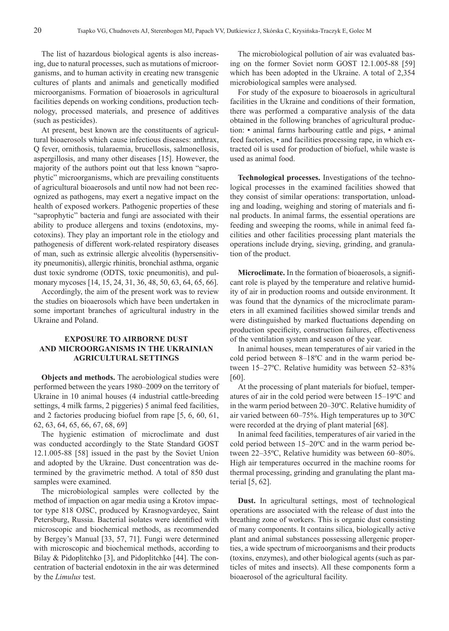The list of hazardous biological agents is also increasing, due to natural processes, such as mutations of microorganisms, and to human activity in creating new transgenic cultures of plants and animals and genetically modified microorganisms. Formation of bioaerosols in agricultural facilities depends on working conditions, production technology, processed materials, and presence of additives (such as pesticides).

At present, best known are the constituents of agricultural bioaerosols which cause infectious diseases: anthrax, Q fever, ornithosis, tularaemia, brucellosis, salmonellosis, aspergillosis, and many other diseases [15]. However, the majority of the authors point out that less known "saprophytic" microorganisms, which are prevailing constituents of agricultural bioaerosols and until now had not been recognized as pathogens, may exert a negative impact on the health of exposed workers. Pathogenic properties of these "saprophytic" bacteria and fungi are associated with their ability to produce allergens and toxins (endotoxins, mycotoxins). They play an important role in the etiology and pathogenesis of different work-related respiratory diseases of man, such as extrinsic allergic alveolitis (hypersensitivity pneumonitis), allergic rhinitis, bronchial asthma, organic dust toxic syndrome (ODTS, toxic pneumonitis), and pulmonary mycoses [14, 15, 24, 31, 36, 48, 50, 63, 64, 65, 66].

Accordingly, the aim of the present work was to review the studies on bioaerosols which have been undertaken in some important branches of agricultural industry in the Ukraine and Poland.

## **EXPOSURE TO AIRBORNE DUST AND MICROORGANISMS IN THE UKRAINIAN AGRICULTURAL SETTINGS**

**Objects and methods.** The aerobiological studies were performed between the years 1980–2009 on the territory of Ukraine in 10 animal houses (4 industrial cattle-breeding settings, 4 milk farms, 2 piggeries) 5 animal feed facilities, and 2 factories producing biofuel from rape [5, 6, 60, 61, 62, 63, 64, 65, 66, 67, 68, 69]

The hygienic estimation of microclimate and dust was conducted accordingly to the State Standard GOST 12.1.005-88 [58] issued in the past by the Soviet Union and adopted by the Ukraine. Dust concentration was determined by the gravimetric method. A total of 850 dust samples were examined.

The microbiological samples were collected by the method of impaction on agar media using a Krotov impactor type 818 OJSC, produced by Krasnogvardeyec, Saint Petersburg, Russia. Bacterial isolates were identified with microscopic and biochemical methods, as recommended by Bergey's Manual [33, 57, 71]. Fungi were determined with microscopic and biochemical methods, according to Bilay & Pidoplitchko [3], and Pidoplitchko [44]. The concentration of bacterial endotoxin in the air was determined by the *Limulus* test.

The microbiological pollution of air was evaluated basing on the former Soviet norm GOST 12.1.005-88 [59] which has been adopted in the Ukraine. A total of 2,354 microbiological samples were analysed.

For study of the exposure to bioaerosols in agricultural facilities in the Ukraine and conditions of their formation, there was performed a comparative analysis of the data obtained in the following branches of agricultural production: • animal farms harbouring cattle and pigs, • animal feed factories, • and facilities processing rape, in which extracted oil is used for production of biofuel, while waste is used as animal food.

**Technological processes.** Investigations of the technological processes in the examined facilities showed that they consist of similar operations: transportation, unloading and loading, weighing and storing of materials and final products. In animal farms, the essential operations are feeding and sweeping the rooms, while in animal feed facilities and other facilities processing plant materials the operations include drying, sieving, grinding, and granulation of the product.

**Microclimate.** In the formation of bioaerosols, a significant role is played by the temperature and relative humidity of air in production rooms and outside environment. It was found that the dynamics of the microclimate parameters in all examined facilities showed similar trends and were distinguished by marked fluctuations depending on production specificity, construction failures, effectiveness of the ventilation system and season of the year.

In animal houses, mean temperatures of air varied in the cold period between 8–18ºC and in the warm period between 15–27ºC. Relative humidity was between 52–83% [60].

At the processing of plant materials for biofuel, temperatures of air in the cold period were between 15–19ºC and in the warm period between 20–30ºC. Relative humidity of air varied between 60–75%. High temperatures up to 30ºC were recorded at the drying of plant material [68].

In animal feed facilities, temperatures of air varied in the cold period between 15–20ºC and in the warm period between 22–35ºC, Relative humidity was between 60–80%. High air temperatures occurred in the machine rooms for thermal processing, grinding and granulating the plant material [5, 62].

**Dust.** In agricultural settings, most of technological operations are associated with the release of dust into the breathing zone of workers. This is organic dust consisting of many components. It contains silica, biologically active plant and animal substances possessing allergenic properties, a wide spectrum of microorganisms and their products (toxins, enzymes), and other biological agents (such as particles of mites and insects). All these components form a bioaerosol of the agricultural facility.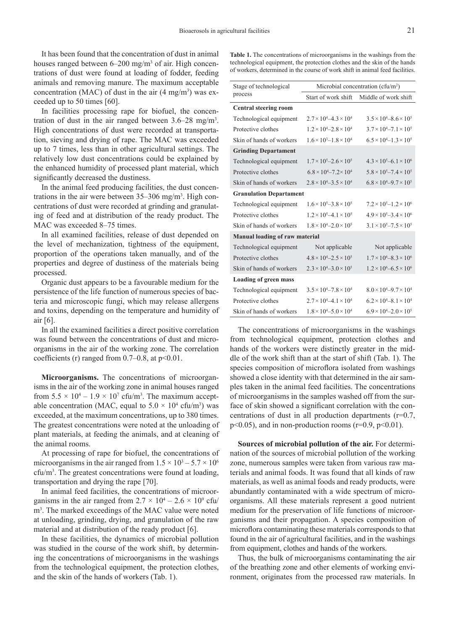It has been found that the concentration of dust in animal houses ranged between 6–200 mg/m<sup>3</sup> of air. High concentrations of dust were found at loading of fodder, feeding animals and removing manure. The maximum acceptable concentration (MAC) of dust in the air  $(4 \text{ mg/m}^3)$  was exceeded up to 50 times [60].

In facilities processing rape for biofuel, the concentration of dust in the air ranged between  $3.6-28$  mg/m<sup>3</sup>. High concentrations of dust were recorded at transportation, sieving and drying of rape. The MAC was exceeded up to 7 times, less than in other agricultural settings. The relatively low dust concentrations could be explained by the enhanced humidity of processed plant material, which significantly decreased the dustiness.

In the animal feed producing facilities, the dust concentrations in the air were between 35–306 mg/m<sup>3</sup>. High concentrations of dust were recorded at grinding and granulating of feed and at distribution of the ready product. The MAC was exceeded 8–75 times.

In all examined facilities, release of dust depended on the level of mechanization, tightness of the equipment, proportion of the operations taken manually, and of the properties and degree of dustiness of the materials being processed.

Organic dust appears to be a favourable medium for the persistence of the life function of numerous species of bacteria and microscopic fungi, which may release allergens and toxins, depending on the temperature and humidity of air [6].

In all the examined facilities a direct positive correlation was found between the concentrations of dust and microorganisms in the air of the working zone. The correlation coefficients (r) ranged from  $0.7-0.8$ , at  $p<0.01$ .

**Microorganisms.** The concentrations of microorganisms in the air of the working zone in animal houses ranged from  $5.5 \times 10^4 - 1.9 \times 10^7$  cfu/m<sup>3</sup>. The maximum acceptable concentration (MAC, equal to  $5.0 \times 10^4$  cfu/m<sup>3</sup>) was exceeded, at the maximum concentrations, up to 380 times. The greatest concentrations were noted at the unloading of plant materials, at feeding the animals, and at cleaning of the animal rooms.

At processing of rape for biofuel, the concentrations of microorganisms in the air ranged from  $1.5 \times 10^3 - 5.7 \times 10^6$ cfu/m3 . The greatest concentrations were found at loading, transportation and drying the rape [70].

In animal feed facilities, the concentrations of microorganisms in the air ranged from  $2.7 \times 10^4 - 2.6 \times 10^9$  cfu/ m3 . The marked exceedings of the MAC value were noted at unloading, grinding, drying, and granulation of the raw material and at distribution of the ready product [6].

In these facilities, the dynamics of microbial pollution was studied in the course of the work shift, by determining the concentrations of microorganisms in the washings from the technological equipment, the protection clothes, and the skin of the hands of workers (Tab. 1).

**Table 1.** The concentrations of microorganisms in the washings from the technological equipment, the protection clothes and the skin of the hands of workers, determined in the course of work shift in animal feed facilities.

| Microbial concentration (cfu/m <sup>2</sup> ) |                                         |  |
|-----------------------------------------------|-----------------------------------------|--|
| Start of work shift                           | Middle of work shift                    |  |
|                                               |                                         |  |
| $2.7 \times 10^{4} - 4.3 \times 10^{4}$       | $3.5 \times 10^{4} - 8.6 \times 10^{5}$ |  |
| $1.2 \times 10^{4} - 2.8 \times 10^{4}$       | $3.7 \times 10^{4} - 7.1 \times 10^{5}$ |  |
| $1.6 \times 10^3 - 1.8 \times 10^4$           | $6.5 \times 10^{4} - 1.3 \times 10^{5}$ |  |
| <b>Grinding Departament</b>                   |                                         |  |
| $1.7 \times 10^5 - 2.6 \times 10^5$           | $4.3 \times 10^5 - 6.1 \times 10^6$     |  |
| $6.8 \times 10^{4} - 7.2 \times 10^{4}$       | $5.8 \times 10^5 - 7.4 \times 10^5$     |  |
| $2.8 \times 10^{4} - 3.5 \times 10^{4}$       | $6.8 \times 10^{4} - 9.7 \times 10^{5}$ |  |
| <b>Granulation Departament</b>                |                                         |  |
| $1.6 \times 10^5 - 3.8 \times 10^5$           | $7.2 \times 10^5 - 1.2 \times 10^6$     |  |
| $1.2 \times 10^5 - 4.1 \times 10^5$           | $4.9 \times 10^5 - 3.4 \times 10^6$     |  |
| $1.8 \times 10^4 - 2.0 \times 10^5$           | $3.1 \times 10^5 - 7.5 \times 10^5$     |  |
| Manual loading of raw material                |                                         |  |
| Not applicable                                | Not applicable                          |  |
| $4.8 \times 10^{4} - 2.5 \times 10^{5}$       | $1.7 \times 10^{6} - 8.3 \times 10^{6}$ |  |
| $2.3 \times 10^{4} - 3.0 \times 10^{5}$       | $1.2 \times 10^6 - 6.5 \times 10^6$     |  |
| <b>Loading of green mass</b>                  |                                         |  |
| $3.5 \times 10^{4} - 7.8 \times 10^{4}$       | $8.0 \times 10^{4} - 9.7 \times 10^{4}$ |  |
| $2.7 \times 10^{4} - 4.1 \times 10^{4}$       | $6.2 \times 10^{4} - 8.1 \times 10^{4}$ |  |
| $1.8 \times 10^{4} - 5.0 \times 10^{4}$       | $6.9 \times 10^{4} - 2.0 \times 10^{5}$ |  |
|                                               |                                         |  |

The concentrations of microorganisms in the washings from technological equipment, protection clothes and hands of the workers were distinctly greater in the middle of the work shift than at the start of shift (Tab. 1). The species composition of microflora isolated from washings showed a close identity with that determined in the air samples taken in the animal feed facilities. The concentrations of microorganisms in the samples washed off from the surface of skin showed a significant correlation with the concentrations of dust in all production departments (r=0.7,  $p<0.05$ ), and in non-production rooms ( $r=0.9$ ,  $p<0.01$ ).

**Sources of microbial pollution of the air.** For determination of the sources of microbial pollution of the working zone, numerous samples were taken from various raw materials and animal foods. It was found that all kinds of raw materials, as well as animal foods and ready products, were abundantly contaminated with a wide spectrum of microorganisms. All these materials represent a good nutrient medium for the preservation of life functions of microorganisms and their propagation. A species composition of microflora contaminating these materials corresponds to that found in the air of agricultural facilities, and in the washings from equipment, clothes and hands of the workers.

Thus, the bulk of microorganisms contaminating the air of the breathing zone and other elements of working environment, originates from the processed raw materials. In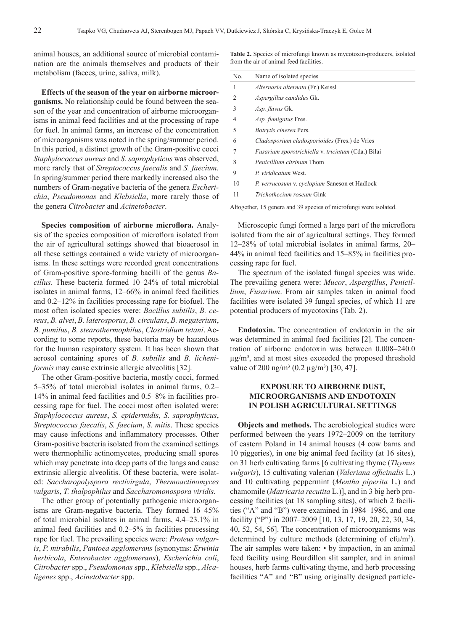animal houses, an additional source of microbial contamination are the animals themselves and products of their metabolism (faeces, urine, saliva, milk).

**Effects of the season of the year on airborne microorganisms.** No relationship could be found between the season of the year and concentration of airborne microorganisms in animal feed facilities and at the processing of rape for fuel. In animal farms, an increase of the concentration of microorganisms was noted in the spring/summer period. In this period, a distinct growth of the Gram-positive cocci *Staphylococcus aureus* and *S. saprophyticus* was observed, more rarely that of *Streptococcus faecalis* and *S. faecium.*  In spring/summer period there markedly increased also the numbers of Gram-negative bacteria of the genera *Escherichia*, *Pseudomonas* and *Klebsiella*, more rarely those of the genera *Citrobacter* and *Acinetobacter*.

Species composition of airborne microflora. Analysis of the species composition of microflora isolated from the air of agricultural settings showed that bioaerosol in all these settings contained a wide variety of microorganisms. In these settings were recorded great concentrations of Gram-positive spore-forming bacilli of the genus *Bacillus*. These bacteria formed 10–24% of total microbial isolates in animal farms, 12–66% in animal feed facilities and 0.2–12% in facilities processing rape for biofuel. The most often isolated species were: *Вacillus subtilis*, *В. cereus*, *В. alvei*, *В. laterosporus*, *В. circulans*, *В. megaterium*, *В. pumilus*, *В. stearothermophilus*, *Clostridium tetani*. According to some reports, these bacteria may be hazardous for the human respiratory system. It has been shown that aerosol containing spores of *B. subtilis* and *B. licheniformis* may cause extrinsic allergic alveolitis [32].

The other Gram-positive bacteria, mostly cocci, formed 5–35% of total microbial isolates in animal farms, 0.2– 14% in animal feed facilities and 0.5–8% in facilities processing rape for fuel. The cocci most often isolated were: *Staphylococcus aureus*, *S. epidermidis*, *S. saprophyticus*, *Streptococcus faecalis*, *S. faecium*, *S. mitis*. These species may cause infections and inflammatory processes. Other Gram-positive bacteria isolated from the examined settings were thermophilic actinomycetes, producing small spores which may penetrate into deep parts of the lungs and cause extrinsic allergic alveolitis. Of these bacteria, were isolated: *Saccharopolyspora rectivirgula*, *Thermoactinomyces vulgaris*, *T. thalpophilus* and *Saccharomonospora viridis*.

The other group of potentially pathogenic microorganisms are Gram-negative bacteria. They formed 16–45% of total microbial isolates in animal farms, 4.4–23.1% in animal feed facilities and 0.2–5% in facilities processing rape for fuel. The prevailing species were: *Proteus vulgaris*, *P. mirabilis*, *Pantoea agglomerans* (synonyms: *Erwinia herbicola*, *Enterobacter agglomerans*), *Escherichia coli*, *Citrobacter* spp., *Pseudomonas* spp., *Klebsiella* spp., *Alcaligenes* spp., *Acinetobacter* spp.

**Table 2.** Species of microfungi known as mycotoxin-producers, isolated from the air of animal feed facilities.

| No.           | Name of isolated species                                  |
|---------------|-----------------------------------------------------------|
| 1             | Alternaria alternata (Fr.) Keissl                         |
| $\mathcal{L}$ | <i>Aspergillus candidus Gk.</i>                           |
| 3             | <i>Asp. flavus</i> Gk.                                    |
| 4             | Asp. fumigatus Fres.                                      |
| 5             | <i>Botrytis cinerea</i> Pers.                             |
| 6             | Cladosporium cladosporioides (Fres.) de Vries             |
|               | <i>Fusarium sporotrichiella v. tricintum (Cda.)</i> Bilai |
| 8             | <i>Penicillium citrinum</i> Thom                          |
| 9             | P. viridicatum West.                                      |
| 10            | P. verrucosum v. cyclopium Saneson et Hadlock             |
| 11            | <i>Trichothecium roseum</i> Gink                          |

Altogether, 15 genera and 39 species of microfungi were isolated.

Microscopic fungi formed a large part of the microflora isolated from the air of agricultural settings. They formed 12–28% of total microbial isolates in animal farms, 20– 44% in animal feed facilities and 15–85% in facilities processing rape for fuel.

The spectrum of the isolated fungal species was wide. The prevailing genera were: *Mucor*, *Aspergillus*, *Penicillium*, *Fusarium*. From air samples taken in animal food facilities were isolated 39 fungal species, of which 11 are potential producers of mycotoxins (Tab. 2).

**Endotoxin.** The concentration of endotoxin in the air was determined in animal feed facilities [2]. The concentration of airborne endotoxin was between 0.008–240.0  $\mu$ g/m<sup>3</sup>, and at most sites exceeded the proposed threshold value of 200 ng/m<sup>3</sup> (0.2 µg/m<sup>3</sup>) [30, 47].

### **EXPOSURE TO AIRBORNE DUST, MICROORGANISMS AND ENDOTOXIN IN POLISH AGRICULTURAL SETTINGS**

**Objects and methods.** The aerobiological studies were performed between the years 1972–2009 on the territory of eastern Poland in 14 animal houses (4 cow barns and 10 piggeries), in one big animal feed facility (at 16 sites), on 31 herb cultivating farms [6 cultivating thyme (*Thymus vulgaris*), 15 cultivating valerian (*Valeriana officinalis* L.) and 10 cultivating peppermint (*Mentha piperita* L.) and chamomile (*Matricaria recutita* L.)], and in 3 big herb processing facilities (at 18 sampling sites), of which 2 facilities ("A" and "B") were examined in 1984–1986, and one facility ("P") in 2007–2009 [10, 13, 17, 19, 20, 22, 30, 34, 40, 52, 54, 56]. The concentration of microorganisms was determined by culture methods (determining of cfu/m<sup>3</sup>). The air samples were taken: • by impaction, in an animal feed facility using Bourdillon slit sampler, and in animal houses, herb farms cultivating thyme, and herb processing facilities "A" and "B" using originally designed particle-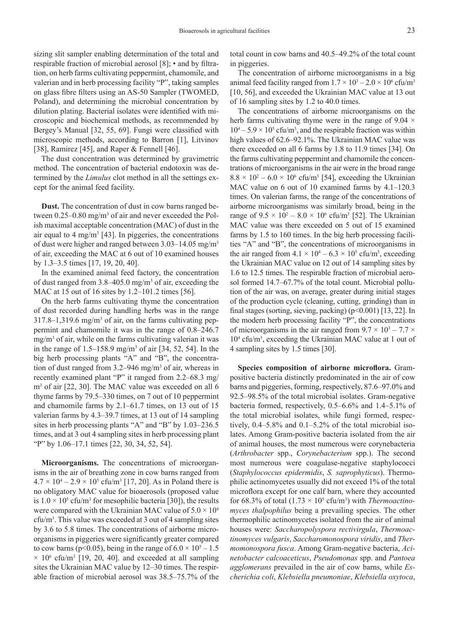sizing slit sampler enabling determination of the total and respirable fraction of microbial aerosol [8]; • and by filtration, on herb farms cultivating peppermint, chamomile, and valerian and in herb processing facility "P", taking samples on glass fibre filters using an AS-50 Sampler (TWOMED, Poland), and determining the microbial concentration by dilution plating. Bacterial isolates were identified with microscopic and biochemical methods, as recommended by Bergey's Manual [32, 55, 69]. Fungi were classified with microscopic methods, according to Barron [1], Litvinov [38], Ramirez [45], and Raper & Fennell [46].

The dust concentration was determined by gravimetric method. The concentration of bacterial endotoxin was determined by the *Limulus* clot method in all the settings except for the animal feed facility.

**Dust.** The concentration of dust in cow barns ranged between  $0.25-0.80$  mg/m<sup>3</sup> of air and never exceeded the Polish maximal acceptable concentration (MAC) of dust in the air equal to  $4 \text{ mg/m}^3$  [43]. In piggeries, the concentrations of dust were higher and ranged between 3.03–14.05 mg/m3 of air, exceeding the MAC at 6 out of 10 examined houses by 1.3–3.5 times [17, 19, 20, 40].

In the examined animal feed factory, the concentration of dust ranged from 3.8–405.0 mg/m3 of air, exceeding the MAC at 15 out of 16 sites by 1.2–101.2 times [56].

On the herb farms cultivating thyme the concentration of dust recorded during handling herbs was in the range  $317.8 - 1,319.6$  mg/m<sup>3</sup> of air, on the farms cultivating peppermint and chamomile it was in the range of 0.8–246.7 mg/m3 of air, while on the farms cultivating valerian it was in the range of  $1.5-158.9$  mg/m<sup>3</sup> of air  $[34, 52, 54]$ . In the big herb processing plants "A" and "B", the concentration of dust ranged from 3.2–946 mg/m3 of air, whereas in recently examined plant "P" it ranged from 2.2–68.3 mg/ m<sup>3</sup> of air [22, 30]. The MAC value was exceeded on all 6 thyme farms by 79.5–330 times, on 7 out of 10 peppermint and chamomile farms by 2.1–61.7 times, on 13 out of 15 valerian farms by 4.3–39.7 times, at 13 out of 14 sampling sites in herb processing plants "A" and "B" by 1.03–236.5 times, and at 3 out 4 sampling sites in herb processing plant "P" by 1.06–17.1 times [22, 30, 34, 52, 54].

**Microorganisms.** The concentrations of microorganisms in the air of breathing zone in cow barns ranged from  $4.7 \times 10^4 - 2.9 \times 10^5$  cfu/m<sup>3</sup> [17, 20]. As in Poland there is no obligatory MAC value for bioaerosols (proposed value is  $1.0 \times 10^5$  cfu/m<sup>3</sup> for mesophilic bacteria [30]), the results were compared with the Ukrainian MAC value of  $5.0 \times 10^4$ cfu/m3 . This value was exceeded at 3 out of 4 sampling sites by 3.6 to 5.8 times. The concentrations of airborne microorganisms in piggeries were significantly greater compared to cow barns ( $p<0.05$ ), being in the range of  $6.0 \times 10^5 - 1.5$  $\times$  10<sup>6</sup> cfu/m<sup>3</sup> [19, 20, 40]. and exceeded at all sampling sites the Ukrainian MAC value by 12–30 times. The respirable fraction of microbial aerosol was 38.5–75.7% of the

total count in cow barns and 40.5–49.2% of the total count in piggeries.

The concentration of airborne microorganisms in a big animal feed facility ranged from  $1.7 \times 10^3 - 2.0 \times 10^6$  cfu/m<sup>3</sup> [10, 56], and exceeded the Ukrainian MAC value at 13 out of 16 sampling sites by 1.2 to 40.0 times.

The concentrations of airborne microorganisms on the herb farms cultivating thyme were in the range of  $9.04 \times$  $10^4 - 5.9 \times 10^5$  cfu/m<sup>3</sup>, and the respirable fraction was within high values of 62.6–92.1%. The Ukrainian MAC value was there exceeded on all 6 farms by 1.8 to 11.9 times [34]. On the farms cultivating peppermint and chamomile the concentrations of microorganisms in the air were in the broad range  $8.8 \times 10^2 - 6.0 \times 10^6$  cfu/m<sup>3</sup> [54], exceeding the Ukrainian MAC value on 6 out of 10 examined farms by 4.1–120.3 times. On valerian farms, the range of the concentrations of airborne microorganisms was similarly broad, being in the range of  $9.5 \times 10^2 - 8.0 \times 10^6$  cfu/m<sup>3</sup> [52]. The Ukrainian MAC value was there exceeded on 5 out of 15 examined farms by 1.5 to 160 times. In the big herb processing facilities "A" and "B", the concentrations of microorganisms in the air ranged from  $4.1 \times 10^4 - 6.3 \times 10^5$  cfu/m<sup>3</sup>, exceeding the Ukrainian MAC value on 12 out of 14 sampling sites by 1.6 to 12.5 times. The respirable fraction of microbial aerosol formed 14.7–67.7% of the total count. Microbial pollution of the air was, on average, greater during initial stages of the production cycle (cleaning, cutting, grinding) than in final stages (sorting, sieving, packing)  $(p<0.001)$  [13, 22]. In the modern herb processing facility "P", the concentrations of microorganisms in the air ranged from  $9.7 \times 10^3 - 7.7 \times$ 104 cfu/m3 , exceeding the Ukrainian MAC value at 1 out of 4 sampling sites by 1.5 times [30].

Species composition of airborne microflora. Grampositive bacteria distinctly predominated in the air of cow barns and piggeries, forming, respectively, 87.6–97.0% and 92.5–98.5% of the total microbial isolates. Gram-negative bacteria formed, respectively, 0.5–6.6% and 1.4–5.1% of the total microbial isolates, while fungi formed, respectively, 0.4–5.8% and 0.1–5.2% of the total microbial isolates. Among Gram-positive bacteria isolated from the air of animal houses, the most numerous were corynebacteria (*Arthrobacter* spp., *Corynebacterium* spp.). The second most numerous were coagulase-negative staphylococci (*Staphylococcus epidermidis*, *S. saprophyticus*). Thermophilic actinomycetes usually did not exceed 1% of the total microflora except for one calf barn, where they accounted for  $68.3\%$  of total  $(1.73 \times 10^5 \text{ cftu/m}^3)$  with *Thermoactinomyces thalpophilus* being a prevailing species. The other thermophilic actinomycetes isolated from the air of animal houses were: *Saccharopolyspora rectivirgula*, *Thermoactinomyces vulgaris*, *Saccharomonospora viridis*, and *Thermomonospora fusca*. Among Gram-negative bacteria, *Acinetobacter calcoaceticus*, *Pseudomonas* spp. and *Pantoea agglomerans* prevailed in the air of cow barns, while *Escherichia coli*, *Klebsiella pneumoniae*, *Klebsiella oxytoca*,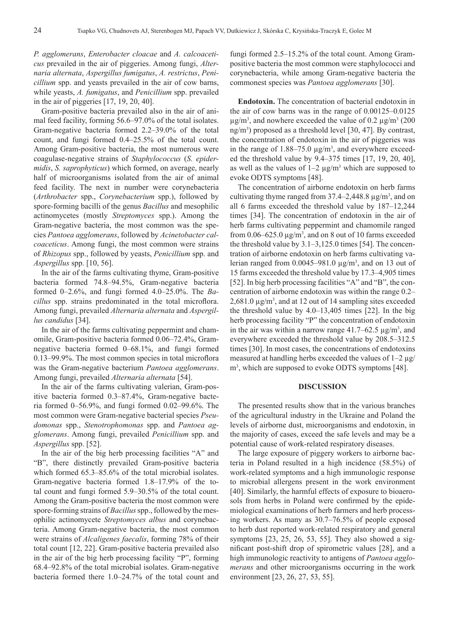*P. agglomerans*, *Enterobacter cloacae* and *A. calcoaceticus* prevailed in the air of piggeries. Among fungi, *Alternaria alternata*, *Aspergillus fumigatus*, *A. restrictus*, *Penicillium* spp. and yeasts prevailed in the air of cow barns, while yeasts, *A. fumigatus*, and *Penicillium* spp. prevailed in the air of piggeries [17, 19, 20, 40].

Gram-positive bacteria prevailed also in the air of animal feed facility, forming 56.6–97.0% of the total isolates. Gram-negative bacteria formed 2.2–39.0% of the total count, and fungi formed 0.4–25.5% of the total count. Among Gram-positive bacteria, the most numerous were coagulase-negative strains of *Staphylococcus* (*S. epidermidis*, *S. saprophyticus*) which formed, on average, nearly half of microorganisms isolated from the air of animal feed facility. The next in number were corynebacteria (*Arthrobacter* spp., *Corynebacterium* spp.), followed by spore-forming bacilli of the genus *Bacillus* and mesophilic actinomycetes (mostly *Streptomyces* spp.). Among the Gram-negative bacteria, the most common was the species *Pantoea agglomerans*, followed by *Acinetobacter calcoaceticus*. Among fungi, the most common were strains of *Rhizopus* spp., followed by yeasts, *Penicillium* spp. and *Aspergillus* spp. [10, 56].

In the air of the farms cultivating thyme, Gram-positive bacteria formed 74.8–94.5%, Gram-negative bacteria formed 0–2.6%, and fungi formed 4.0–25.0%. The *Bacillus* spp. strains predominated in the total microflora. Among fungi, prevailed *Alternaria alternata* and *Aspergillus candidus* [34].

In the air of the farms cultivating peppermint and chamomile, Gram-positive bacteria formed 0.06–72.4%, Gramnegative bacteria formed 0–68.1%, and fungi formed 0.13–99.9%. The most common species in total microflora was the Gram-negative bacterium *Pantoea agglomerans*. Among fungi, prevailed *Alternaria alternata* [54].

In the air of the farms cultivating valerian, Gram-positive bacteria formed 0.3–87.4%, Gram-negative bacteria formed 0–56.9%, and fungi formed 0.02–99.6%. The most common were Gram-negative bacterial species *Pseudomonas* spp., *Stenotrophomonas* spp. and *Pantoea agglomerans*. Among fungi, prevailed *Penicillium* spp. and *Aspergillus* spp. [52].

In the air of the big herb processing facilities "A" and "B", there distinctly prevailed Gram-positive bacteria which formed  $65.3-85.6\%$  of the total microbial isolates. Gram-negative bacteria formed 1.8–17.9% of the total count and fungi formed 5.9–30.5% of the total count. Among the Gram-positive bacteria the most common were spore-forming strains of *Bacillus* spp., followed by the mesophilic actinomycete *Streptomyces albus* and corynebacteria. Among Gram-negative bacteria, the most common were strains of *Alcaligenes faecalis*, forming 78% of their total count [12, 22]. Gram-positive bacteria prevailed also in the air of the big herb processing facility "P", forming 68.4–92.8% of the total microbial isolates. Gram-negative bacteria formed there 1.0–24.7% of the total count and

fungi formed 2.5–15.2% of the total count. Among Grampositive bacteria the most common were staphylococci and corynebacteria, while among Gram-negative bacteria the commonest species was *Pantoea agglomerans* [30].

**Endotoxin.** The concentration of bacterial endotoxin in the air of cow barns was in the range of 0.00125–0.0125  $\mu$ g/m<sup>3</sup>, and nowhere exceeded the value of 0.2  $\mu$ g/m<sup>3</sup> (200) ng/m3 ) proposed as a threshold level [30, 47]. By contrast, the concentration of endotoxin in the air of piggeries was in the range of  $1.88-75.0 \mu g/m^3$ , and everywhere exceeded the threshold value by 9.4–375 times [17, 19, 20, 40], as well as the values of  $1-2 \mu g/m^3$  which are supposed to evoke ODTS symptoms [48].

The concentration of airborne endotoxin on herb farms cultivating thyme ranged from  $37.4 - 2,448.8 \,\mu g/m^3$ , and on all 6 farms exceeded the threshold value by 187–12,244 times [34]. The concentration of endotoxin in the air of herb farms cultivating peppermint and chamomile ranged from  $0.06 - 625.0 \,\mu g/m^3$ , and on 8 out of 10 farms exceeded the threshold value by 3.1–3,125.0 times [54]. The concentration of airborne endotoxin on herb farms cultivating valerian ranged from  $0.0045 - 981.0 \mu g/m<sup>3</sup>$ , and on 13 out of 15 farms exceeded the threshold value by 17.3–4,905 times [52]. In big herb processing facilities "A" and "B", the concentration of airborne endotoxin was within the range 0.2–  $2,681.0 \,\mu g/m^3$ , and at 12 out of 14 sampling sites exceeded the threshold value by 4.0–13,405 times [22]. In the big herb processing facility "P" the concentration of endotoxin in the air was within a narrow range  $41.7 - 62.5 \mu g/m^3$ , and everywhere exceeded the threshold value by 208.5–312.5 times [30]. In most cases, the concentrations of endotoxins measured at handling herbs exceeded the values of 1–2 μg/ m3 , which are supposed to evoke ODTS symptoms [48].

#### **DISCUSSION**

The presented results show that in the various branches of the agricultural industry in the Ukraine and Poland the levels of airborne dust, microorganisms and endotoxin, in the majority of cases, exceed the safe levels and may be a potential cause of work-related respiratory diseases.

The large exposure of piggery workers to airborne bacteria in Poland resulted in a high incidence (58.5%) of work-related symptoms and a high immunologic response to microbial allergens present in the work environment [40]. Similarly, the harmful effects of exposure to bioaerosols from herbs in Poland were confirmed by the epidemiological examinations of herb farmers and herb processing workers. As many as 30.7–76.5% of people exposed to herb dust reported work-related respiratory and general symptoms [23, 25, 26, 53, 55]. They also showed a significant post-shift drop of spirometric values [28], and a high immunologic reactivity to antigens of *Pantoea agglomerans* and other microorganisms occurring in the work environment [23, 26, 27, 53, 55].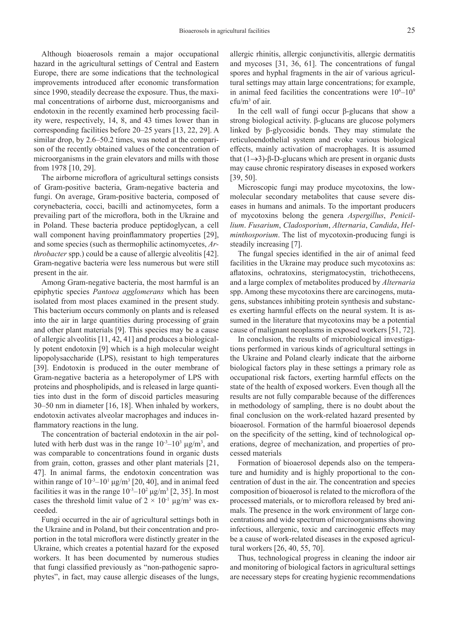Although bioaerosols remain a major occupational hazard in the agricultural settings of Central and Eastern Europe, there are some indications that the technological improvements introduced after economic transformation since 1990, steadily decrease the exposure. Thus, the maximal concentrations of airborne dust, microorganisms and endotoxin in the recently examined herb processing facility were, respectively, 14, 8, and 43 times lower than in corresponding facilities before 20–25 years [13, 22, 29]. A similar drop, by 2.6–50.2 times, was noted at the comparison of the recently obtained values of the concentration of microorganisms in the grain elevators and mills with those from 1978 [10, 29].

The airborne microflora of agricultural settings consists of Gram-positive bacteria, Gram-negative bacteria and fungi. On average, Gram-positive bacteria, composed of corynebacteria, cocci, bacilli and actinomycetes, form a prevailing part of the microflora, both in the Ukraine and in Poland. These bacteria produce peptidoglycan, a cell wall component having proinflammatory properties [29], and some species (such as thermophilic actinomycetes, *Arthrobacter* spp.) could be a cause of allergic alveolitis [42]. Gram-negative bacteria were less numerous but were still present in the air.

Among Gram-negative bacteria, the most harmful is an epiphytic species *Pantoea agglomerans* which has been isolated from most places examined in the present study. This bacterium occurs commonly on plants and is released into the air in large quantities during processing of grain and other plant materials [9]. This species may be a cause of allergic alveolitis [11, 42, 41] and produces a biologically potent endotoxin [9] which is a high molecular weight lipopolysaccharide (LPS), resistant to high temperatures [39]. Endotoxin is produced in the outer membrane of Gram-negative bacteria as a heteropolymer of LPS with proteins and phospholipids, and is released in large quantities into dust in the form of discoid particles measuring 30–50 nm in diameter [16, 18]. When inhaled by workers, endotoxin activates alveolar macrophages and induces inflammatory reactions in the lung.

The concentration of bacterial endotoxin in the air polluted with herb dust was in the range  $10^{-3}$ – $10^{3}$  μg/m<sup>3</sup>, and was comparable to concentrations found in organic dusts from grain, cotton, grasses and other plant materials [21, 47]. In animal farms, the endotoxin concentration was within range of  $10^{-3}$ – $10^{1}$   $\mu$ g/m<sup>3</sup> [20, 40], and in animal feed facilities it was in the range  $10^{-3}$ – $10^{2}$   $\mu$ g/m<sup>3</sup> [2, 35]. In most cases the threshold limit value of  $2 \times 10^{-1}$   $\mu$ g/m<sup>3</sup> was exceeded.

Fungi occurred in the air of agricultural settings both in the Ukraine and in Poland, but their concentration and proportion in the total microflora were distinctly greater in the Ukraine, which creates a potential hazard for the exposed workers. It has been documented by numerous studies that fungi classified previously as "non-pathogenic saprophytes", in fact, may cause allergic diseases of the lungs,

allergic rhinitis, allergic conjunctivitis, allergic dermatitis and mycoses [31, 36, 61]. The concentrations of fungal spores and hyphal fragments in the air of various agricultural settings may attain large concentrations; for example, in animal feed facilities the concentrations were  $10^6 - 10^9$ cfu/m3 of air.

In the cell wall of fungi occur β-glucans that show a strong biological activity. β-glucans are glucose polymers linked by β-glycosidic bonds. They may stimulate the reticuloendothelial system and evoke various biological effects, mainly activation of macrophages. It is assumed that  $(1\rightarrow3)$ -β-D-glucans which are present in organic dusts may cause chronic respiratory diseases in exposed workers [39, 50].

Microscopic fungi may produce mycotoxins, the lowmolecular secondary metabolites that cause severe diseases in humans and animals. To the important producers of mycotoxins belong the genera *Aspergillus*, *Penicillium*. *Fusarium*, *Cladosporium*, *Alternaria*, *Candida*, *Helminthosporium*. The list of mycotoxin-producing fungi is steadily increasing [7].

The fungal species identified in the air of animal feed facilities in the Ukraine may produce such mycotoxins as: aflatoxins, ochratoxins, sterigmatocystin, trichothecens, and a large complex of metabolites produced by *Alternaria* spp. Among these mycotoxins there are carcinogens, mutagens, substances inhibiting protein synthesis and substances exerting harmful effects on the neural system. It is assumed in the literature that mycotoxins may be a potential cause of malignant neoplasms in exposed workers [51, 72].

In conclusion, the results of microbiological investigations performed in various kinds of agricultural settings in the Ukraine and Poland clearly indicate that the airborne biological factors play in these settings a primary role as occupational risk factors, exerting harmful effects on the state of the health of exposed workers. Even though all the results are not fully comparable because of the differences in methodology of sampling, there is no doubt about the final conclusion on the work-related hazard presented by bioaerosol. Formation of the harmful bioaerosol depends on the specificity of the setting, kind of technological operations, degree of mechanization, and properties of processed materials

Formation of bioaerosol depends also on the temperature and humidity and is highly proportional to the concentration of dust in the air. The concentration and species composition of bioaerosol is related to the microflora of the processed materials, or to microflora released by bred animals. The presence in the work environment of large concentrations and wide spectrum of microorganisms showing infectious, allergenic, toxic and carcinogenic effects may be a cause of work-related diseases in the exposed agricultural workers [26, 40, 55, 70].

Thus, technological progress in cleaning the indoor air and monitoring of biological factors in agricultural settings are necessary steps for creating hygienic recommendations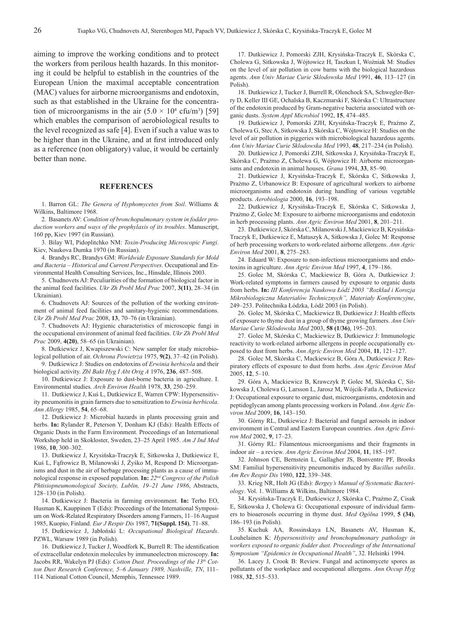aiming to improve the working conditions and to protect the workers from perilous health hazards. In this monitoring it could be helpful to establish in the countries of the European Union the maximal acceptable concentration (MAC) values for airborne microorganisms and endotoxin, such as that established in the Ukraine for the concentration of microorganisms in the air  $(5.0 \times 10^4 \text{ cftu/m}^3)$  [59] which enables the comparison of aerobiological results to the level recognized as safe [4]. Even if such a value was to be higher than in the Ukraine, and at first introduced only as a reference (non obligatory) value, it would be certainly better than none.

#### **REFERENCES**

1. Barron GL: *The Genera of Hyphomycetes from Soil*. Williams & Wilkins, Baltimore 1968.

2. Basanets AV: *Condition of bronchopulmonary system in fodder production workers and ways of the prophylaxis of its troubles*. Manuscript, 160 pp, Kiev 1997 (in Russian).

3. Bilay WI, Pidoplitchko NM: *Toxin-Producing Microscopic Fungi*. Kiev, Naukova Dumka 1970 (in Russian).

4. Brandys RC, Brandys GM: *Worldwide Exposure Standards for Mold and Bacteria – Historical and Current Perspectives*. Occupational and Environmental Health Consulting Services, Inc., Hinsdale, Illinois 2003.

5. Chudnovets AJ: Peculiarities of the formation of biological factor in the animal feed facilities. *Ukr Zh Probl Med Prac* 2007, **3(11)**, 28–34 (in Ukrainian).

6. Chudnovets AJ: Sources of the pollution of the working environment of animal feed facilities and sanitary-hygienic recommendations. *Ukr Zh Probl Med Prac* 2008, **13**, 70–76 (in Ukrainian).

7. Chudnovets AJ: Hygienic characteristics of microscopic fungi in the occupational environment of animal feed facilities. *Ukr Zh Probl Med Prac* 2009, **4(20)**, 58–65 (in Ukrainian).

8. Dutkiewicz J, Kwapiszewski C: New sampler for study microbiological pollution of air. *Ochrona Powietrza* 1975, **9(2)**, 37–42 (in Polish).

9. Dutkiewicz J: Studies on endotoxins of *Erwinia herbicola* and their biological activity. *Zbl Bakt Hyg I Abt Orig A* 1976, **236**, 487–508.

10. Dutkiewicz J: Exposure to dust-borne bacteria in agriculture. I. Environmental studies. *Arch Environ Health* 1978, **33**, 250–259.

11. Dutkiewicz J, Kuś L, Dutkiewicz E, Warren CPW: Hypersensitivity pneumonitis in grain farmers due to sensitization to *Erwinia herbicola*. *Ann Allergy* 1985, **54**, 65–68.

12. Dutkiewicz J: Microbial hazards in plants processing grain and herbs. **In:** Rylander R, Peterson Y, Donham KJ (Eds): Health Effects of Organic Dusts in the Farm Environment. Proceedings of an International Workshop held in Skokloster, Sweden, 23–25 April 1985. *Am J Ind Med*  1986, **10**, 300–302.

13. Dutkiewicz J, Krysińska-Traczyk E, Sitkowska J, Dutkiewicz E, Kuś L, Fąfrowicz B, Milanowski J, Żyśko M, Respond D: Microorganisms and dust in the air of herbage processing plants as a cause of immunological response in exposed population. **In:** *22nd Congress of the Polish Phtisiopneumonological Society, Lublin, 19–21 June 1986*, Abstracts, 128–130 (in Polish).

14. Dutkiewicz J: Bacteria in farming environment. **In:** Terho EO, Husman K, Kauppinen T (Eds): Proceedings of the International Symposium on Work-Related Respiratory Disorders among Farmers, 11–16 August 1985, Kuopio, Finland. *Eur J Respir Dis* 1987, **71(Suppl. 154)**, 71–88.

15. Dutkiewicz J, Jabłoński L: *Occupational Biological Hazards*. PZWL, Warsaw 1989 (in Polish).

16. Dutkiewicz J, Tucker J, Woodfork K, Burrell R: The identification of extracellular endotoxin molecules by immunoelectron microscopy. **In:**  Jacobs RR, Wakelyn PJ (Eds): *Cotton Dust. Proceedings of the 13th Cotton Dust Research Conference, 5–6 January 1989, Nashville, TN*, 111– 114. National Cotton Council, Memphis, Tennessee 1989.

17. Dutkiewicz J, Pomorski ZJH, Krysińska-Traczyk E, Skórska C, Cholewa G, Sitkowska J, Wójtowicz H, Taszkun I, Woźniak M: Studies on the level of air pollution in cow barns with the biological hazardous agents. *Ann Univ Mariae Curie Sklodowska Med* 1991, **46**, 113–127 (in Polish).

18. Dutkiewicz J, Tucker J, Burrell R, Olenchock SA, Schwegler-Berry D, Keller III GE, Ochalska B, Kaczmarski F, Skórska C: Ultrastructure of the endotoxin produced by Gram-negative bacteria associated with organic dusts. *System Appl Microbiol* 1992, **15**, 474–485.

19. Dutkiewicz J, Pomorski ZJH, Krysińska-Traczyk E, Prażmo Z, Cholewa G, Stec A, Sitkowska J, Skórska C, Wójtowicz H: Studies on the level of air pollution in piggeries with microbiological hazardous agents. *Ann Univ Mariae Curie Sklodowska Med* 1993, **48**, 217–234 (in Polish).

20. Dutkiewicz J, Pomorski ZJH, Sitkowska J, Krysińska-Traczyk E, Skórska C, Prażmo Z, Cholewa G, Wójtowicz H: Airborne microorganisms and endotoxin in animal houses. *Grana* 1994, **33**, 85–90.

21. Dutkiewicz J, Krysińska-Traczyk E, Skórska C, Sitkowska J, Prażmo Z, Urbanowicz B: Exposure of agricultural workers to airborne microorganisms and endotoxin during handling of various vegetable products. *Aerobiologia* 2000, **16**, 193–198.

22. Dutkiewicz J, Krysińska-Traczyk E, Skórska C, Sitkowska J, Prażmo Z, Golec M: Exposure to airborne microorganisms and endotoxin in herb processing plants. *Ann Agric Environ Med* 2001, **8**, 201–211.

23. Dutkiewicz J, Skórska C, Milanowski J, Mackiewicz B, Krysińska-Traczyk E, Dutkiewicz E, Matuszyk A, Sitkowska J, Golec M: Response of herb processing workers to work-related airborne allergens. *Ann Agric Environ Med* 2001, **8**, 275–283.

24. Eduard W: Exposure to non-infectious microorganisms and endotoxins in agriculture. *Ann Agric Environ Med* 1997, **4**, 179–186.

25. Golec M, Skórska C, Mackiewicz B, Góra A, Dutkiewicz J: Work-related symptoms in farmers caused by exposure to organic dusts from herbs. **In:** *III Konferencja Naukowa Łódź 2003 "Rozkład i Korozja Mikrobiologiczna Materiałów Technicznych", Materiały Konferencyjne*, 249–253. Politechnika Łódzka, Łódź 2003 (in Polish).

26. Golec M, Skórska C, Mackiewicz B, Dutkiewicz J: Health effects of exposure to thyme dust in a group of thyme growing farmers. *Ann Univ Mariae Curie Sklodowska Med* 2003, **58 (1/36)**, 195–203.

27. Golec M, Skórska C, Mackiewicz B, Dutkiewicz J: Immunologic reactivity to work-related airborne allergens in people occupationally exposed to dust from herbs. *Ann Agric Environ Med* 2004, **11**, 121–127.

28. Golec M, Skórska C, Mackiewicz B, Góra A, Dutkiewicz J: Respiratory effects of exposure to dust from herbs. *Ann Agric Environ Med*  2005, **12**, 5–10.

29. Góra A, Mackiewicz B, Krawczyk P, Golec M, Skórska C, Sitkowska J, Cholewa G, Larsson L, Jarosz M, Wójcik-Fatla A, Dutkiewicz J: Occupational exposure to organic dust, microorganisms, endotoxin and peptidoglycan among plants processing workers in Poland. *Ann Agric Environ Med* 2009, **16**, 143–150.

30. Górny RL, Dutkiewicz J: Bacterial and fungal aerosols in indoor environment in Central and Eastern European countries. *Ann Agric Environ Med* 2002, **9**, 17–23.

31. Górny RL: Filamentous microorganisms and their fragments in indoor air – a review. *Ann Agric Environ Med* 2004, **11**, 185–197.

32. Johnson CE, Bernstein L, Gallagher JS, Bonventre PF, Brooks SM: Familial hypersensitivity pneumonitis induced by *Bacillus subtilis*. *Am Rev Respir Dis* 1980, **122**, 339–348.

33. Krieg NR, Holt JG (Eds): *Bergey's Manual of Systematic Bacteriology*. Vol. 1. Williams & Wilkins, Baltimore 1984.

34. Krysińska-Traczyk E, Dutkiewicz J, Skórska C, Prażmo Z, Cisak E, Sitkowska J, Cholewa G: Occupational exposure of individual farmers to bioaerosols occurring in thyme dust. *Med Ogólna* 1999, **5 (34)**, 186–193 (in Polish).

35. Kuchuk AA, Rossinskaya LN, Basanets AV, Husman K, Louhelainen K: *Hypersensitivity and bronchopulmonary pathology in workers exposed to organic fodder dust. Proceedings of the International Symposium "Epidemics in Occupational Health"*, 32. Helsinki 1994.

36. Lacey J, Crook B: Review. Fungal and actinomycete spores as pollutants of the workplace and occupational allergens. *Ann Occup Hyg* 1988, **32**, 515–533.